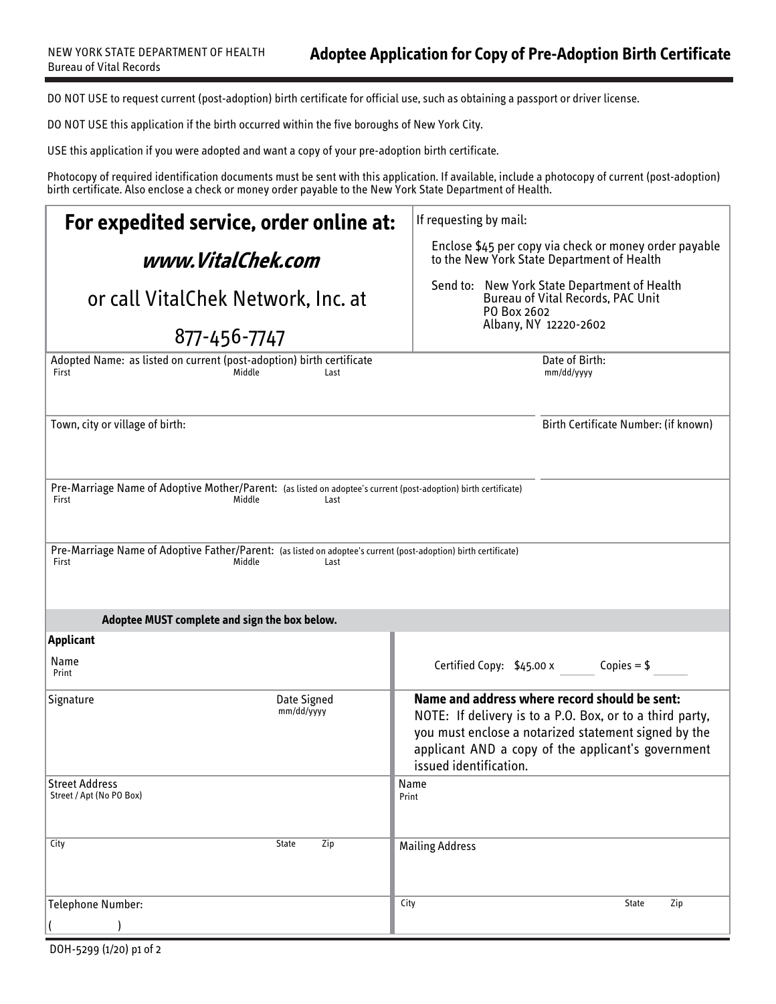DO NOT USE to request current (post-adoption) birth certificate for official use, such as obtaining a passport or driver license.

DO NOT USE this application if the birth occurred within the five boroughs of New York City.

USE this application if you were adopted and want a copy of your pre-adoption birth certificate.

Photocopy of required identification documents must be sent with this application. If available, include a photocopy of current (post-adoption) birth certificate. Also enclose a check or money order payable to the New York State Department of Health.

| For expedited service, order online at:                                                                                                    | If requesting by mail:                                                                                                                                                                                                                            |
|--------------------------------------------------------------------------------------------------------------------------------------------|---------------------------------------------------------------------------------------------------------------------------------------------------------------------------------------------------------------------------------------------------|
| www.VitalChek.com                                                                                                                          | Enclose \$45 per copy via check or money order payable<br>to the New York State Department of Health                                                                                                                                              |
| or call VitalChek Network, Inc. at                                                                                                         | Send to: New York State Department of Health<br><b>Bureau of Vital Records, PAC Unit</b><br>PO Box 2602                                                                                                                                           |
| 877-456-7747                                                                                                                               | Albany, NY 12220-2602                                                                                                                                                                                                                             |
| Adopted Name: as listed on current (post-adoption) birth certificate<br>Middle<br>First<br>Last                                            | Date of Birth:<br>mm/dd/yyyy                                                                                                                                                                                                                      |
| Town, city or village of birth:                                                                                                            | Birth Certificate Number: (if known)                                                                                                                                                                                                              |
| Pre-Marriage Name of Adoptive Mother/Parent: (as listed on adoptee's current (post-adoption) birth certificate)<br>First<br>Middle<br>Last |                                                                                                                                                                                                                                                   |
| Pre-Marriage Name of Adoptive Father/Parent: (as listed on adoptee's current (post-adoption) birth certificate)<br>Middle<br>First<br>Last |                                                                                                                                                                                                                                                   |
| Adoptee MUST complete and sign the box below.                                                                                              |                                                                                                                                                                                                                                                   |
| <b>Applicant</b><br>Name<br>Print                                                                                                          | Certified Copy: $$45.00 x$ Copies = \$                                                                                                                                                                                                            |
| Date Signed<br>Signature<br>mm/dd/yyyy                                                                                                     | Name and address where record should be sent:<br>NOTE: If delivery is to a P.O. Box, or to a third party,<br>you must enclose a notarized statement signed by the<br>applicant AND a copy of the applicant's government<br>issued identification. |
| <b>Street Address</b><br>Street / Apt (No PO Box)                                                                                          | Name<br>Print                                                                                                                                                                                                                                     |
| Zip<br>City<br><b>State</b>                                                                                                                | <b>Mailing Address</b>                                                                                                                                                                                                                            |
| <b>Telephone Number:</b>                                                                                                                   | City<br>Zip<br><b>State</b>                                                                                                                                                                                                                       |
|                                                                                                                                            |                                                                                                                                                                                                                                                   |